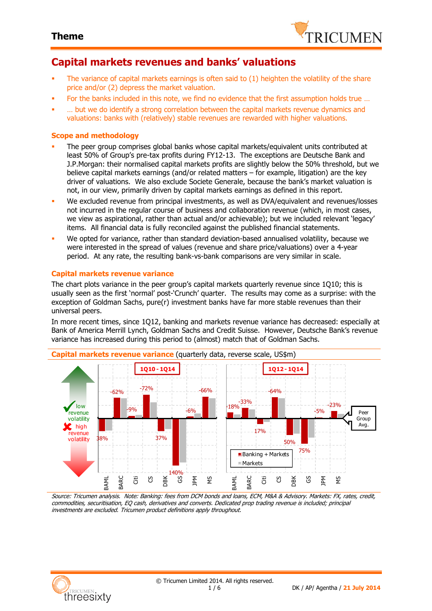

## **Capital markets revenues and banks' valuations**

- The variance of capital markets earnings is often said to (1) heighten the volatility of the share price and/or (2) depress the market valuation.
- For the banks included in this note, we find no evidence that the first assumption holds true …
- … but we do identify a strong correlation between the capital markets revenue dynamics and valuations: banks with (relatively) stable revenues are rewarded with higher valuations.

### **Scope and methodology**

- The peer group comprises global banks whose capital markets/equivalent units contributed at least 50% of Group's pre-tax profits during FY12-13. The exceptions are Deutsche Bank and J.P.Morgan: their normalised capital markets profits are slightly below the 50% threshold, but we believe capital markets earnings (and/or related matters – for example, litigation) are the key driver of valuations. We also exclude Societe Generale, because the bank's market valuation is not, in our view, primarily driven by capital markets earnings as defined in this report.
- We excluded revenue from principal investments, as well as DVA/equivalent and revenues/losses not incurred in the regular course of business and collaboration revenue (which, in most cases, we view as aspirational, rather than actual and/or achievable); but we included relevant 'legacy' items. All financial data is fully reconciled against the published financial statements.
- We opted for variance, rather than standard deviation-based annualised volatility, because we were interested in the spread of values (revenue and share price/valuations) over a 4-year period. At any rate, the resulting bank-vs-bank comparisons are very similar in scale.

### **Capital markets revenue variance**

The chart plots variance in the peer group's capital markets quarterly revenue since 1Q10; this is usually seen as the first 'normal' post-'Crunch' quarter. The results may come as a surprise: with the exception of Goldman Sachs, pure(r) investment banks have far more stable revenues than their universal peers.

In more recent times, since 1Q12, banking and markets revenue variance has decreased: especially at Bank of America Merrill Lynch, Goldman Sachs and Credit Suisse. However, Deutsche Bank's revenue variance has increased during this period to (almost) match that of Goldman Sachs.



Source: Tricumen analysis. Note: Banking: fees from DCM bonds and loans, ECM, M&A & Advisory. Markets: FX, rates, credit, commodities, securitisation, EQ cash, derivatives and converts. Dedicated prop trading revenue is included; principal investments are excluded. Tricumen product definitions apply throughout.

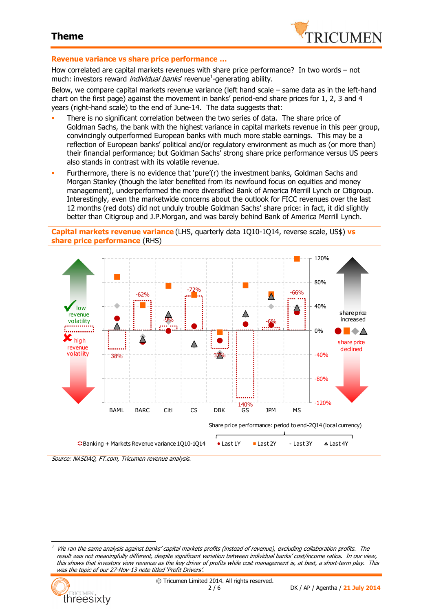

#### **Revenue variance vs share price performance …**

How correlated are capital markets revenues with share price performance? In two words – not much: investors reward *individual banks*' revenue<sup>1</sup>-generating ability.

Below, we compare capital markets revenue variance (left hand scale – same data as in the left-hand chart on the first page) against the movement in banks' period-end share prices for 1, 2, 3 and 4 years (right-hand scale) to the end of June-14. The data suggests that:

- There is no significant correlation between the two series of data. The share price of Goldman Sachs, the bank with the highest variance in capital markets revenue in this peer group, convincingly outperformed European banks with much more stable earnings. This may be a reflection of European banks' political and/or regulatory environment as much as (or more than) their financial performance; but Goldman Sachs' strong share price performance versus US peers also stands in contrast with its volatile revenue.
- Furthermore, there is no evidence that 'pure'(r) the investment banks, Goldman Sachs and Morgan Stanley (though the later benefited from its newfound focus on equities and money management), underperformed the more diversified Bank of America Merrill Lynch or Citigroup. Interestingly, even the marketwide concerns about the outlook for FICC revenues over the last 12 months (red dots) did not unduly trouble Goldman Sachs' share price: in fact, it did slightly better than Citigroup and J.P.Morgan, and was barely behind Bank of America Merrill Lynch.

**Capital markets revenue variance** (LHS, quarterly data 1Q10-1Q14, reverse scale, US\$) **vs share price performance** (RHS)



Source: NASDAQ, FT.com, Tricumen revenue analysis.

<sup>1</sup> We ran the same analysis against banks' capital markets profits (instead of revenue), excluding collaboration profits. The result was not meaningfully different, despite significant variation between individual banks' cost/income ratios. In our view, this shows that investors view revenue as the key driver of profits while cost management is, at best, a short-term play. This was the topic of our 27-Nov-13 note titled 'Profit Drivers'.



 $\overline{a}$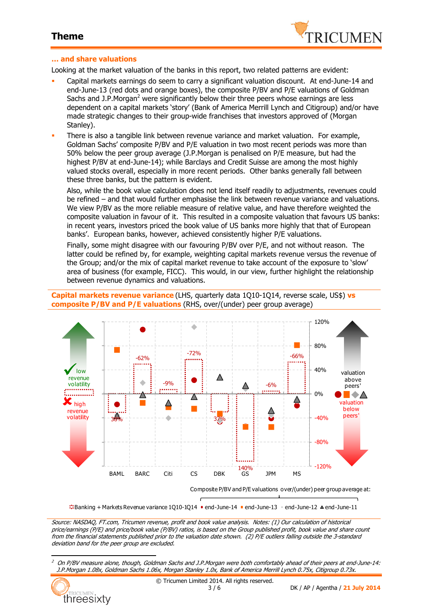

### **… and share valuations**

Looking at the market valuation of the banks in this report, two related patterns are evident:

- Capital markets earnings do seem to carry a significant valuation discount. At end-June-14 and end-June-13 (red dots and orange boxes), the composite P/BV and P/E valuations of Goldman Sachs and J.P.Morgan<sup>2</sup> were significantly below their three peers whose earnings are less dependent on a capital markets 'story' (Bank of America Merrill Lynch and Citigroup) and/or have made strategic changes to their group-wide franchises that investors approved of (Morgan Stanley).
- There is also a tangible link between revenue variance and market valuation. For example, Goldman Sachs' composite P/BV and P/E valuation in two most recent periods was more than 50% below the peer group average (J.P.Morgan is penalised on P/E measure, but had the highest P/BV at end-June-14); while Barclays and Credit Suisse are among the most highly valued stocks overall, especially in more recent periods. Other banks generally fall between these three banks, but the pattern is evident.

Also, while the book value calculation does not lend itself readily to adjustments, revenues could be refined – and that would further emphasise the link between revenue variance and valuations. We view P/BV as the more reliable measure of relative value, and have therefore weighted the composite valuation in favour of it. This resulted in a composite valuation that favours US banks: in recent years, investors priced the book value of US banks more highly that that of European banks'. European banks, however, achieved consistently higher P/E valuations.

Finally, some might disagree with our favouring P/BV over P/E, and not without reason. The latter could be refined by, for example, weighting capital markets revenue versus the revenue of the Group; and/or the mix of capital market revenue to take account of the exposure to 'slow' area of business (for example, FICC). This would, in our view, further highlight the relationship between revenue dynamics and valuations.

**Capital markets revenue variance** (LHS, quarterly data 1Q10-1Q14, reverse scale, US\$) **vs composite P/BV and P/E valuations** (RHS, over/(under) peer group average)



 $\ddot{=}$ Banking + Markets Revenue variance 1010-1014 • end-June-14 = end-June-13  $\cdot$  end-June-12  $\triangle$  end-June-11

Source: NASDAQ, FT.com, Tricumen revenue, profit and book value analysis. Notes: (1) Our calculation of historical price/earnings (P/E) and price/book value (P/BV) ratios, is based on the Group published profit, book value and share count from the financial statements published prior to the valuation date shown. (2) P/E outliers falling outside the 3-standard deviation band for the peer group are excluded.

<sup>2</sup> On P/BV measure alone, though, Goldman Sachs and J.P.Morgan were both comfortably ahead of their peers at end-June-14: J.P.Morgan 1.08x, Goldman Sachs 1.06x, Morgan Stanley 1.0x, Bank of America Merrill Lynch 0.75x, Citigroup 0.73x.



 $\overline{a}$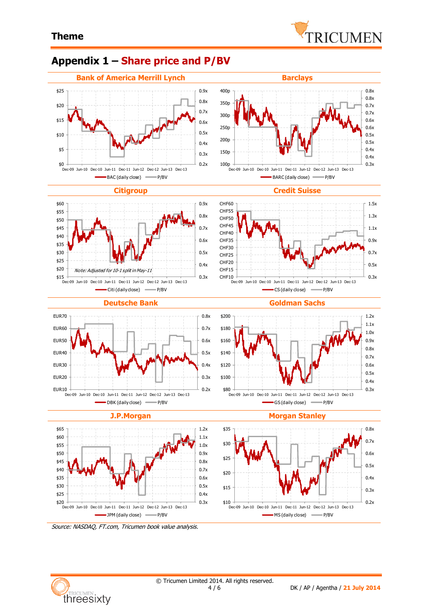## **Appendix 1 – Share price and P/BV**





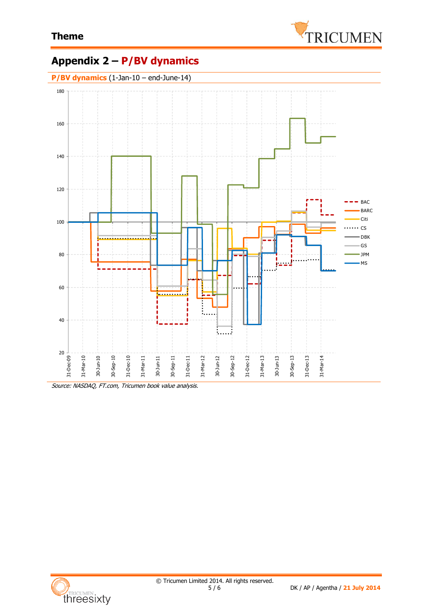

# **Appendix 2 – P/BV dynamics**



Source: NASDAQ, FT.com, Tricumen book value analysis.